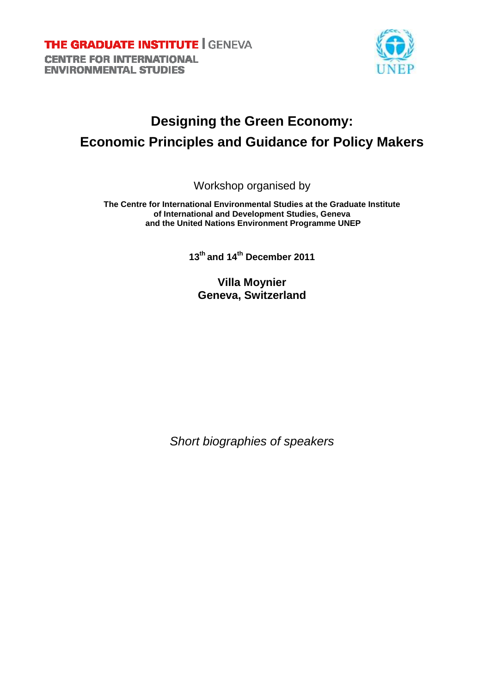

# **Designing the Green Economy: Economic Principles and Guidance for Policy Makers**

Workshop organised by

**The Centre for International Environmental Studies at the Graduate Institute of International and Development Studies, Geneva and the United Nations Environment Programme UNEP** 

**13th and 14th December 2011**

**Villa Moynier Geneva, Switzerland**

Short biographies of speakers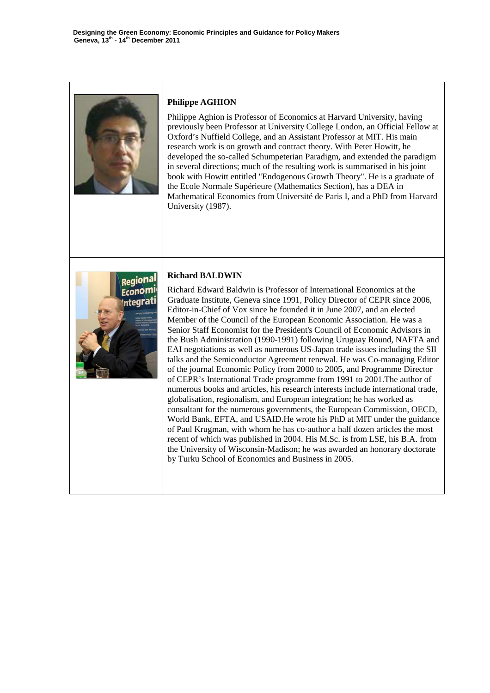

# **Philippe AGHION**

Philippe Aghion is Professor of Economics at Harvard University, having previously been Professor at University College London, an Official Fellow at Oxford's Nuffield College, and an Assistant Professor at MIT. His main research work is on growth and contract theory. With Peter Howitt, he developed the so-called Schumpeterian Paradigm, and extended the paradigm in several directions; much of the resulting work is summarised in his joint book with Howitt entitled "Endogenous Growth Theory". He is a graduate of the Ecole Normale Supérieure (Mathematics Section), has a DEA in Mathematical Economics from Université de Paris I, and a PhD from Harvard University (1987).



# **Richard BALDWIN**

Richard Edward Baldwin is Professor of International Economics at the Graduate Institute, Geneva since 1991, Policy Director of CEPR since 2006, Editor-in-Chief of Vox since he founded it in June 2007, and an elected Member of the Council of the European Economic Association. He was a Senior Staff Economist for the President's Council of Economic Advisors in the Bush Administration (1990-1991) following Uruguay Round, NAFTA and EAI negotiations as well as numerous US-Japan trade issues including the SII talks and the Semiconductor Agreement renewal. He was Co-managing Editor of the journal Economic Policy from 2000 to 2005, and Programme Director of CEPR's International Trade programme from 1991 to 2001.The author of numerous books and articles, his research interests include international trade, globalisation, regionalism, and European integration; he has worked as consultant for the numerous governments, the European Commission, OECD, World Bank, EFTA, and USAID.He wrote his PhD at MIT under the guidance of Paul Krugman, with whom he has co-author a half dozen articles the most recent of which was published in 2004. His M.Sc. is from LSE, his B.A. from the University of Wisconsin-Madison; he was awarded an honorary doctorate by Turku School of Economics and Business in 2005.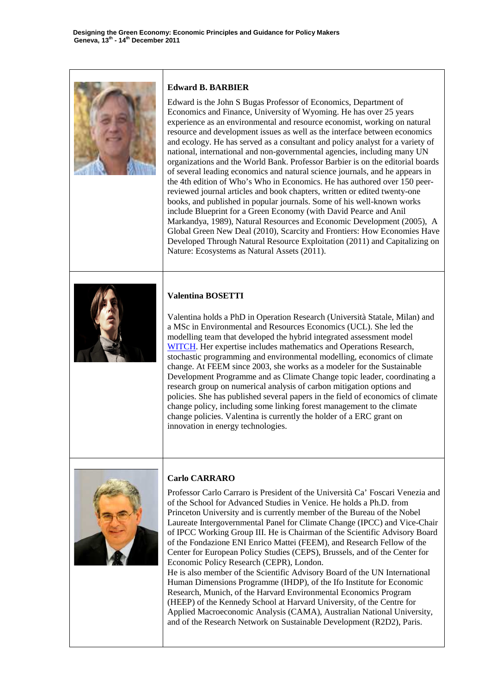

#### **Edward B. BARBIER**

Edward is the John S Bugas Professor of Economics, Department of Economics and Finance, University of Wyoming. He has over 25 years experience as an environmental and resource economist, working on natural resource and development issues as well as the interface between economics and ecology. He has served as a consultant and policy analyst for a variety of national, international and non-governmental agencies, including many UN organizations and the World Bank. Professor Barbier is on the editorial boards of several leading economics and natural science journals, and he appears in the 4th edition of Who's Who in Economics. He has authored over 150 peerreviewed journal articles and book chapters, written or edited twenty-one books, and published in popular journals. Some of his well-known works include Blueprint for a Green Economy (with David Pearce and Anil Markandya, 1989), Natural Resources and Economic Development (2005), A Global Green New Deal (2010), Scarcity and Frontiers: How Economies Have Developed Through Natural Resource Exploitation (2011) and Capitalizing on Nature: Ecosystems as Natural Assets (2011).



### **Valentina BOSETTI**

Valentina holds a PhD in Operation Research (Università Statale, Milan) and a MSc in Environmental and Resources Economics (UCL). She led the modelling team that developed the hybrid integrated assessment model WITCH. Her expertise includes mathematics and Operations Research, stochastic programming and environmental modelling, economics of climate change. At FEEM since 2003, she works as a modeler for the Sustainable Development Programme and as Climate Change topic leader, coordinating a research group on numerical analysis of carbon mitigation options and policies. She has published several papers in the field of economics of climate change policy, including some linking forest management to the climate change policies. Valentina is currently the holder of a ERC grant on innovation in energy technologies.



#### **Carlo CARRARO**

Professor Carlo Carraro is President of the Università Ca' Foscari Venezia and of the School for Advanced Studies in Venice. He holds a Ph.D. from Princeton University and is currently member of the Bureau of the Nobel Laureate Intergovernmental Panel for Climate Change (IPCC) and Vice-Chair of IPCC Working Group III. He is Chairman of the Scientific Advisory Board of the Fondazione ENI Enrico Mattei (FEEM), and Research Fellow of the Center for European Policy Studies (CEPS), Brussels, and of the Center for Economic Policy Research (CEPR), London.

He is also member of the Scientific Advisory Board of the UN International Human Dimensions Programme (IHDP), of the Ifo Institute for Economic Research, Munich, of the Harvard Environmental Economics Program (HEEP) of the Kennedy School at Harvard University, of the Centre for Applied Macroeconomic Analysis (CAMA), Australian National University, and of the Research Network on Sustainable Development (R2D2), Paris.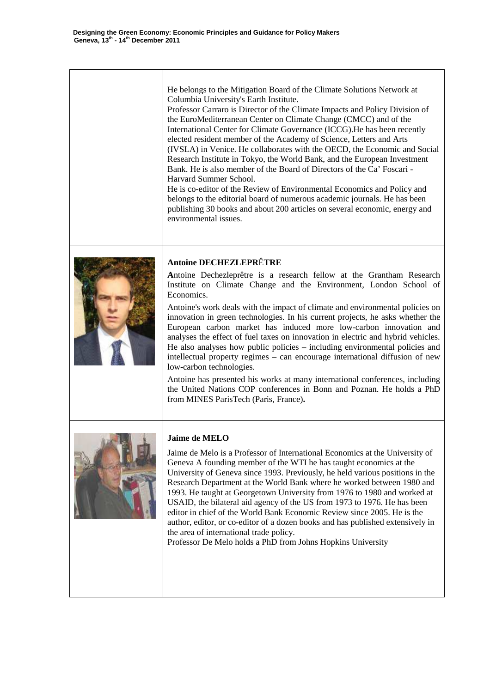He belongs to the Mitigation Board of the Climate Solutions Network at Columbia University's Earth Institute. Professor Carraro is Director of the Climate Impacts and Policy Division of the EuroMediterranean Center on Climate Change (CMCC) and of the International Center for Climate Governance (ICCG).He has been recently elected resident member of the Academy of Science, Letters and Arts (IVSLA) in Venice. He collaborates with the OECD, the Economic and Social Research Institute in Tokyo, the World Bank, and the European Investment Bank. He is also member of the Board of Directors of the Ca' Foscari - Harvard Summer School. He is co-editor of the Review of Environmental Economics and Policy and belongs to the editorial board of numerous academic journals. He has been publishing 30 books and about 200 articles on several economic, energy and environmental issues. **Antoine DECHEZLEPR**Ê**TRE A**ntoine Dechezleprêtre is a research fellow at the Grantham Research Institute on Climate Change and the Environment, London School of Economics. Antoine's work deals with the impact of climate and environmental policies on innovation in green technologies. In his current projects, he asks whether the European carbon market has induced more low-carbon innovation and analyses the effect of fuel taxes on innovation in electric and hybrid vehicles. He also analyses how public policies – including environmental policies and intellectual property regimes – can encourage international diffusion of new low-carbon technologies. Antoine has presented his works at many international conferences, including the United Nations COP conferences in Bonn and Poznan. He holds a PhD from MINES ParisTech (Paris, France)**. Jaime de MELO**



Jaime de Melo is a Professor of International Economics at the University of Geneva A founding member of the WTI he has taught economics at the University of Geneva since 1993. Previously, he held various positions in the Research Department at the World Bank where he worked between 1980 and 1993. He taught at Georgetown University from 1976 to 1980 and worked at USAID, the bilateral aid agency of the US from 1973 to 1976. He has been editor in chief of the World Bank Economic Review since 2005. He is the author, editor, or co-editor of a dozen books and has published extensively in the area of international trade policy.

Professor De Melo holds a PhD from Johns Hopkins University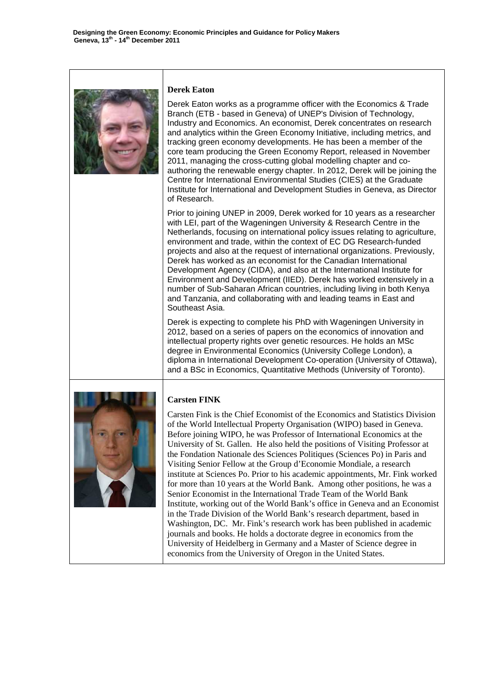

#### **Derek Eaton**

Derek Eaton works as a programme officer with the Economics & Trade Branch (ETB - based in Geneva) of UNEP's Division of Technology, Industry and Economics. An economist, Derek concentrates on research and analytics within the Green Economy Initiative, including metrics, and tracking green economy developments. He has been a member of the core team producing the Green Economy Report, released in November 2011, managing the cross-cutting global modelling chapter and coauthoring the renewable energy chapter. In 2012, Derek will be joining the Centre for International Environmental Studies (CIES) at the Graduate Institute for International and Development Studies in Geneva, as Director of Research.

Prior to joining UNEP in 2009, Derek worked for 10 years as a researcher with LEI, part of the Wageningen University & Research Centre in the Netherlands, focusing on international policy issues relating to agriculture, environment and trade, within the context of EC DG Research-funded projects and also at the request of international organizations. Previously, Derek has worked as an economist for the Canadian International Development Agency (CIDA), and also at the International Institute for Environment and Development (IIED). Derek has worked extensively in a number of Sub-Saharan African countries, including living in both Kenya and Tanzania, and collaborating with and leading teams in East and Southeast Asia.

Derek is expecting to complete his PhD with Wageningen University in 2012, based on a series of papers on the economics of innovation and intellectual property rights over genetic resources. He holds an MSc degree in Environmental Economics (University College London), a diploma in International Development Co-operation (University of Ottawa), and a BSc in Economics, Quantitative Methods (University of Toronto).



# **Carsten FINK**

Carsten Fink is the Chief Economist of the Economics and Statistics Division of the World Intellectual Property Organisation (WIPO) based in Geneva. Before joining WIPO, he was Professor of International Economics at the University of St. Gallen. He also held the positions of Visiting Professor at the Fondation Nationale des Sciences Politiques (Sciences Po) in Paris and Visiting Senior Fellow at the Group d'Economie Mondiale, a research institute at Sciences Po. Prior to his academic appointments, Mr. Fink worked for more than 10 years at the World Bank. Among other positions, he was a Senior Economist in the International Trade Team of the World Bank Institute, working out of the World Bank's office in Geneva and an Economist in the Trade Division of the World Bank's research department, based in Washington, DC. Mr. Fink's research work has been published in academic journals and books. He holds a doctorate degree in economics from the University of Heidelberg in Germany and a Master of Science degree in economics from the University of Oregon in the United States.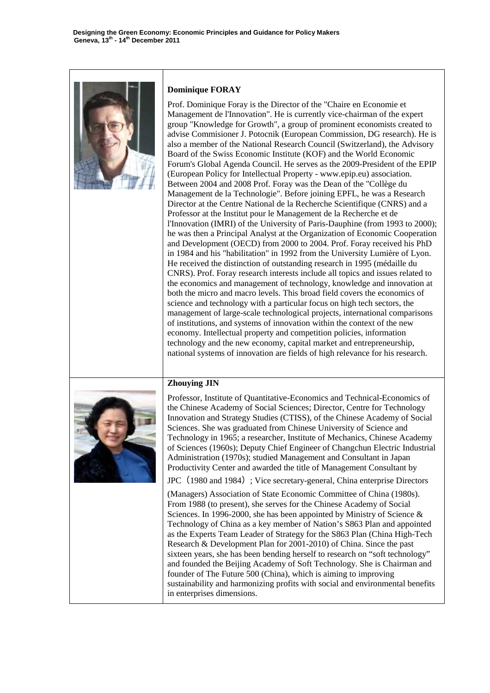

#### **Dominique FORAY**

Prof. Dominique Foray is the Director of the "Chaire en Economie et Management de l'Innovation". He is currently vice-chairman of the expert group "Knowledge for Growth", a group of prominent economists created to advise Commisioner J. Potocnik (European Commission, DG research). He is also a member of the National Research Council (Switzerland), the Advisory Board of the Swiss Economic Institute (KOF) and the World Economic Forum's Global Agenda Council. He serves as the 2009-President of the EPIP (European Policy for Intellectual Property - www.epip.eu) association. Between 2004 and 2008 Prof. Foray was the Dean of the "Collège du Management de la Technologie". Before joining EPFL, he was a Research Director at the Centre National de la Recherche Scientifique (CNRS) and a Professor at the Institut pour le Management de la Recherche et de l'Innovation (IMRI) of the University of Paris-Dauphine (from 1993 to 2000); he was then a Principal Analyst at the Organization of Economic Cooperation and Development (OECD) from 2000 to 2004. Prof. Foray received his PhD in 1984 and his "habilitation" in 1992 from the University Lumière of Lyon. He received the distinction of outstanding research in 1995 (médaille du CNRS). Prof. Foray research interests include all topics and issues related to the economics and management of technology, knowledge and innovation at both the micro and macro levels. This broad field covers the economics of science and technology with a particular focus on high tech sectors, the management of large-scale technological projects, international comparisons of institutions, and systems of innovation within the context of the new economy. Intellectual property and competition policies, information technology and the new economy, capital market and entrepreneurship, national systems of innovation are fields of high relevance for his research.

### **Zhouying JIN**



Professor, Institute of Quantitative-Economics and Technical-Economics of the Chinese Academy of Social Sciences; Director, Centre for Technology Innovation and Strategy Studies (CTISS), of the Chinese Academy of Social Sciences. She was graduated from Chinese University of Science and Technology in 1965; a researcher, Institute of Mechanics, Chinese Academy of Sciences (1960s); Deputy Chief Engineer of Changchun Electric Industrial Administration (1970s); studied Management and Consultant in Japan Productivity Center and awarded the title of Management Consultant by

JPC (1980 and 1984); Vice secretary-general, China enterprise Directors

(Managers) Association of State Economic Committee of China (1980s). From 1988 (to present), she serves for the Chinese Academy of Social Sciences. In 1996-2000, she has been appointed by Ministry of Science & Technology of China as a key member of Nation's S863 Plan and appointed as the Experts Team Leader of Strategy for the S863 Plan (China High-Tech Research & Development Plan for 2001-2010) of China. Since the past sixteen years, she has been bending herself to research on "soft technology" and founded the Beijing Academy of Soft Technology. She is Chairman and founder of The Future 500 (China), which is aiming to improving sustainability and harmonizing profits with social and environmental benefits in enterprises dimensions.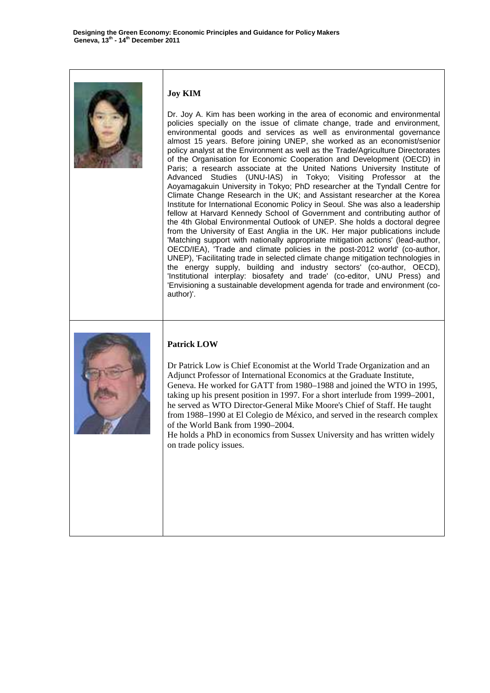

# **Joy KIM**

Dr. Joy A. Kim has been working in the area of economic and environmental policies specially on the issue of climate change, trade and environment, environmental goods and services as well as environmental governance almost 15 years. Before joining UNEP, she worked as an economist/senior policy analyst at the Environment as well as the Trade/Agriculture Directorates of the Organisation for Economic Cooperation and Development (OECD) in Paris; a research associate at the United Nations University Institute of Advanced Studies (UNU-IAS) in Tokyo; Visiting Professor at the Aoyamagakuin University in Tokyo; PhD researcher at the Tyndall Centre for Climate Change Research in the UK; and Assistant researcher at the Korea Institute for International Economic Policy in Seoul. She was also a leadership fellow at Harvard Kennedy School of Government and contributing author of the 4th Global Environmental Outlook of UNEP. She holds a doctoral degree from the University of East Anglia in the UK. Her major publications include 'Matching support with nationally appropriate mitigation actions' (lead-author, OECD/IEA), 'Trade and climate policies in the post-2012 world' (co-author, UNEP), 'Facilitating trade in selected climate change mitigation technologies in the energy supply, building and industry sectors' (co-author, OECD), 'Institutional interplay: biosafety and trade' (co-editor, UNU Press) and 'Envisioning a sustainable development agenda for trade and environment (coauthor)'.



# **Patrick LOW**

Dr Patrick Low is Chief Economist at the World Trade Organization and an Adjunct Professor of International Economics at the Graduate Institute, Geneva. He worked for GATT from 1980–1988 and joined the WTO in 1995, taking up his present position in 1997. For a short interlude from 1999–2001, he served as WTO Director-General Mike Moore's Chief of Staff. He taught from 1988–1990 at El Colegio de México, and served in the research complex of the World Bank from 1990–2004.

He holds a PhD in economics from Sussex University and has written widely on trade policy issues.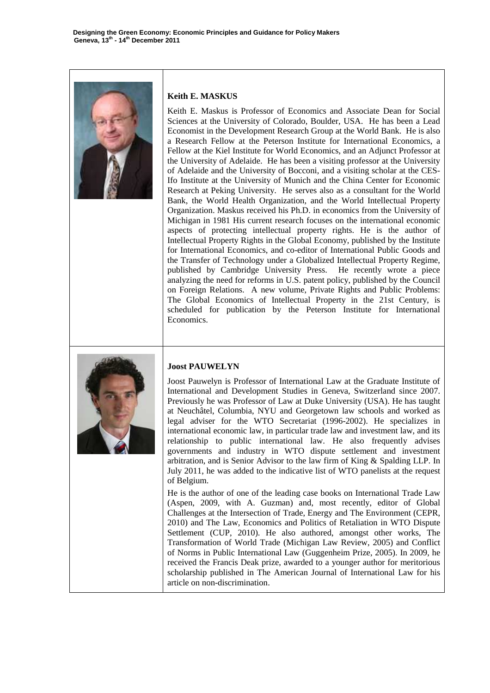

#### **Keith E. MASKUS**

Keith E. Maskus is Professor of Economics and Associate Dean for Social Sciences at the University of Colorado, Boulder, USA. He has been a Lead Economist in the Development Research Group at the World Bank. He is also a Research Fellow at the Peterson Institute for International Economics, a Fellow at the Kiel Institute for World Economics, and an Adjunct Professor at the University of Adelaide. He has been a visiting professor at the University of Adelaide and the University of Bocconi, and a visiting scholar at the CES-Ifo Institute at the University of Munich and the China Center for Economic Research at Peking University. He serves also as a consultant for the World Bank, the World Health Organization, and the World Intellectual Property Organization. Maskus received his Ph.D. in economics from the University of Michigan in 1981 His current research focuses on the international economic aspects of protecting intellectual property rights. He is the author of Intellectual Property Rights in the Global Economy, published by the Institute for International Economics, and co-editor of International Public Goods and the Transfer of Technology under a Globalized Intellectual Property Regime, published by Cambridge University Press. He recently wrote a piece analyzing the need for reforms in U.S. patent policy, published by the Council on Foreign Relations. A new volume, Private Rights and Public Problems: The Global Economics of Intellectual Property in the 21st Century, is scheduled for publication by the Peterson Institute for International Economics.



#### **Joost PAUWELYN**

Joost Pauwelyn is Professor of International Law at the Graduate Institute of International and Development Studies in Geneva, Switzerland since 2007. Previously he was Professor of Law at Duke University (USA). He has taught at Neuchâtel, Columbia, NYU and Georgetown law schools and worked as legal adviser for the WTO Secretariat (1996-2002). He specializes in international economic law, in particular trade law and investment law, and its relationship to public international law. He also frequently advises governments and industry in WTO dispute settlement and investment arbitration, and is Senior Advisor to the law firm of King & Spalding LLP. In July 2011, he was added to the indicative list of WTO panelists at the request of Belgium.

He is the author of one of the leading case books on International Trade Law (Aspen, 2009, with A. Guzman) and, most recently, editor of Global Challenges at the Intersection of Trade, Energy and The Environment (CEPR, 2010) and The Law, Economics and Politics of Retaliation in WTO Dispute Settlement (CUP, 2010). He also authored, amongst other works, The Transformation of World Trade (Michigan Law Review, 2005) and Conflict of Norms in Public International Law (Guggenheim Prize, 2005). In 2009, he received the Francis Deak prize, awarded to a younger author for meritorious scholarship published in The American Journal of International Law for his article on non-discrimination.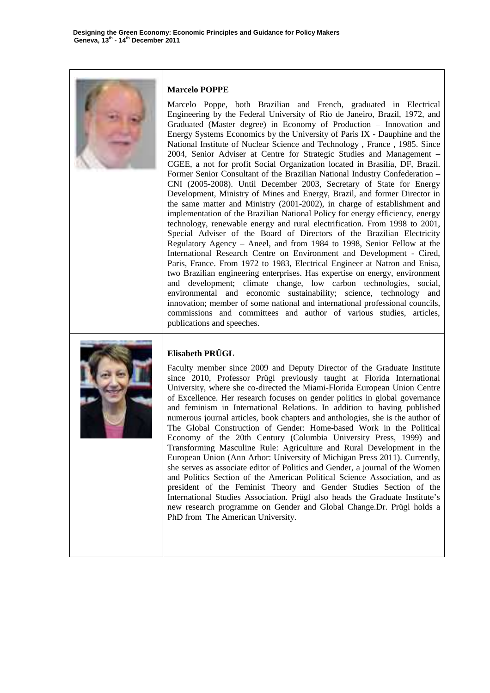

# **Marcelo POPPE**

Marcelo Poppe, both Brazilian and French, graduated in Electrical Engineering by the Federal University of Rio de Janeiro, Brazil, 1972, and Graduated (Master degree) in Economy of Production – Innovation and Energy Systems Economics by the University of Paris IX - Dauphine and the National Institute of Nuclear Science and Technology , France , 1985. Since 2004, Senior Adviser at Centre for Strategic Studies and Management – CGEE, a not for profit Social Organization located in Brasília, DF, Brazil. Former Senior Consultant of the Brazilian National Industry Confederation – CNI (2005-2008). Until December 2003, Secretary of State for Energy Development, Ministry of Mines and Energy, Brazil, and former Director in the same matter and Ministry (2001-2002), in charge of establishment and implementation of the Brazilian National Policy for energy efficiency, energy technology, renewable energy and rural electrification. From 1998 to 2001, Special Adviser of the Board of Directors of the Brazilian Electricity Regulatory Agency – Aneel, and from 1984 to 1998, Senior Fellow at the International Research Centre on Environment and Development - Cired, Paris, France. From 1972 to 1983, Electrical Engineer at Natron and Enisa, two Brazilian engineering enterprises. Has expertise on energy, environment and development; climate change, low carbon technologies, social, environmental and economic sustainability; science, technology and innovation; member of some national and international professional councils, commissions and committees and author of various studies, articles, publications and speeches.



# **Elisabeth PRÜGL**

Faculty member since 2009 and Deputy Director of the Graduate Institute since 2010, Professor Prügl previously taught at Florida International University, where she co-directed the Miami-Florida European Union Centre of Excellence. Her research focuses on gender politics in global governance and feminism in International Relations. In addition to having published numerous journal articles, book chapters and anthologies, she is the author of The Global Construction of Gender: Home-based Work in the Political Economy of the 20th Century (Columbia University Press, 1999) and Transforming Masculine Rule: Agriculture and Rural Development in the European Union (Ann Arbor: University of Michigan Press 2011). Currently, she serves as associate editor of Politics and Gender, a journal of the Women and Politics Section of the American Political Science Association, and as president of the Feminist Theory and Gender Studies Section of the International Studies Association. Prügl also heads the Graduate Institute's new research programme on Gender and Global Change.Dr. Prügl holds a PhD from The American University.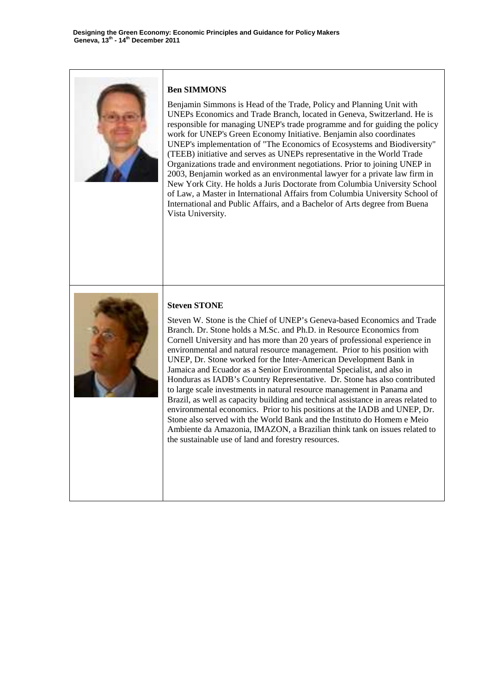

### **Ben SIMMONS**

Benjamin Simmons is Head of the Trade, Policy and Planning Unit with UNEPs Economics and Trade Branch, located in Geneva, Switzerland. He is responsible for managing UNEP's trade programme and for guiding the policy work for UNEP's Green Economy Initiative. Benjamin also coordinates UNEP's implementation of "The Economics of Ecosystems and Biodiversity" (TEEB) initiative and serves as UNEPs representative in the World Trade Organizations trade and environment negotiations. Prior to joining UNEP in 2003, Benjamin worked as an environmental lawyer for a private law firm in New York City. He holds a Juris Doctorate from Columbia University School of Law, a Master in International Affairs from Columbia University School of International and Public Affairs, and a Bachelor of Arts degree from Buena Vista University.



#### **Steven STONE**

Steven W. Stone is the Chief of UNEP's Geneva-based Economics and Trade Branch. Dr. Stone holds a M.Sc. and Ph.D. in Resource Economics from Cornell University and has more than 20 years of professional experience in environmental and natural resource management. Prior to his position with UNEP, Dr. Stone worked for the Inter-American Development Bank in Jamaica and Ecuador as a Senior Environmental Specialist, and also in Honduras as IADB's Country Representative. Dr. Stone has also contributed to large scale investments in natural resource management in Panama and Brazil, as well as capacity building and technical assistance in areas related to environmental economics. Prior to his positions at the IADB and UNEP, Dr. Stone also served with the World Bank and the Instituto do Homem e Meio Ambiente da Amazonia, IMAZON, a Brazilian think tank on issues related to the sustainable use of land and forestry resources.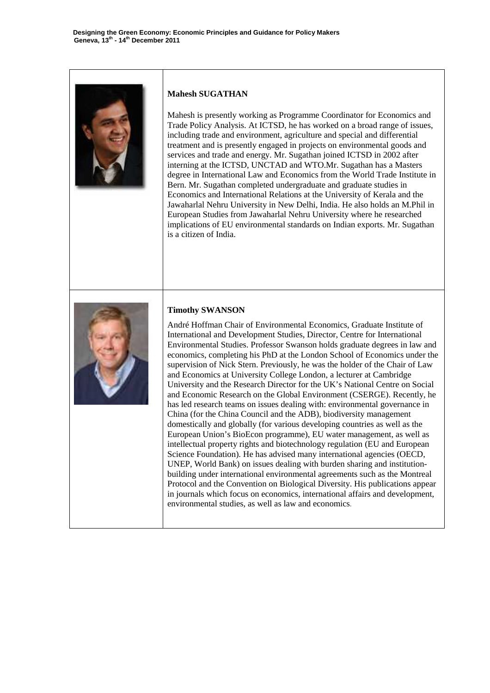

#### **Mahesh SUGATHAN**

Mahesh is presently working as Programme Coordinator for Economics and Trade Policy Analysis. At ICTSD, he has worked on a broad range of issues, including trade and environment, agriculture and special and differential treatment and is presently engaged in projects on environmental goods and services and trade and energy. Mr. Sugathan joined ICTSD in 2002 after interning at the ICTSD, UNCTAD and WTO.Mr. Sugathan has a Masters degree in International Law and Economics from the World Trade Institute in Bern. Mr. Sugathan completed undergraduate and graduate studies in Economics and International Relations at the University of Kerala and the Jawaharlal Nehru University in New Delhi, India. He also holds an M.Phil in European Studies from Jawaharlal Nehru University where he researched implications of EU environmental standards on Indian exports. Mr. Sugathan is a citizen of India.



#### **Timothy SWANSON**

André Hoffman Chair of Environmental Economics, Graduate Institute of International and Development Studies, Director, Centre for International Environmental Studies. Professor Swanson holds graduate degrees in law and economics, completing his PhD at the London School of Economics under the supervision of Nick Stern. Previously, he was the holder of the Chair of Law and Economics at University College London, a lecturer at Cambridge University and the Research Director for the UK's National Centre on Social and Economic Research on the Global Environment (CSERGE). Recently, he has led research teams on issues dealing with: environmental governance in China (for the China Council and the ADB), biodiversity management domestically and globally (for various developing countries as well as the European Union's BioEcon programme), EU water management, as well as intellectual property rights and biotechnology regulation (EU and European Science Foundation). He has advised many international agencies (OECD, UNEP, World Bank) on issues dealing with burden sharing and institutionbuilding under international environmental agreements such as the Montreal Protocol and the Convention on Biological Diversity. His publications appear in journals which focus on economics, international affairs and development, environmental studies, as well as law and economics.